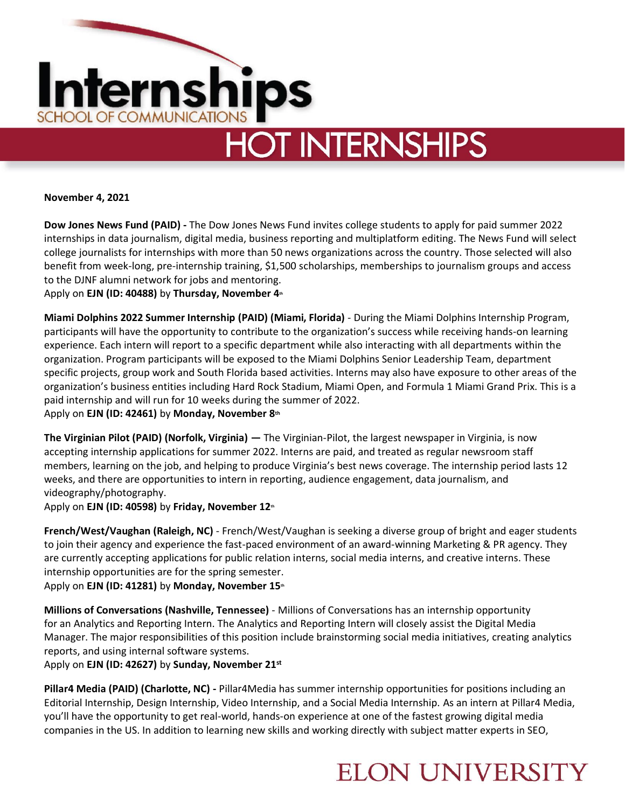

# **HOT INTERNSHIPS**

**November 4, 2021**

**Dow Jones News Fund (PAID) -** The Dow Jones News Fund invites college students to apply for paid summer 2022 internships in data journalism, digital media, business reporting and multiplatform editing. The News Fund will select college journalists for internships with more than 50 news organizations across the country. Those selected will also benefit from week-long, pre-internship training, \$1,500 scholarships, memberships to journalism groups and access to the DJNF alumni network for jobs and mentoring.

Apply on **EJN (ID: 40488)** by **Thursday, November 4th**

**Miami Dolphins 2022 Summer Internship (PAID) (Miami, Florida)** - During the Miami Dolphins Internship Program, participants will have the opportunity to contribute to the organization's success while receiving hands-on learning experience. Each intern will report to a specific department while also interacting with all departments within the organization. Program participants will be exposed to the Miami Dolphins Senior Leadership Team, department specific projects, group work and South Florida based activities. Interns may also have exposure to other areas of the organization's business entities including Hard Rock Stadium, Miami Open, and Formula 1 Miami Grand Prix. This is a paid internship and will run for 10 weeks during the summer of 2022. Apply on **EJN (ID: 42461)** by **Monday, November 8th**

**The Virginian Pilot (PAID) (Norfolk, Virginia) —** The Virginian-Pilot, the largest newspaper in Virginia, is now accepting internship applications for summer 2022. Interns are paid, and treated as regular newsroom staff members, learning on the job, and helping to produce Virginia's best news coverage. The internship period lasts 12 weeks, and there are opportunities to intern in reporting, audience engagement, data journalism, and videography/photography.

Apply on **EJN (ID: 40598)** by **Friday, November 12th**

**French/West/Vaughan (Raleigh, NC)** - French/West/Vaughan is seeking a diverse group of bright and eager students to join their agency and experience the fast-paced environment of an award-winning Marketing & PR agency. They are currently accepting applications for public relation interns, social media interns, and creative interns. These internship opportunities are for the spring semester.

Apply on **EJN (ID: 41281)** by **Monday, November 15th**

**Millions of Conversations (Nashville, Tennessee)** - Millions of Conversations has an internship opportunity for an Analytics and Reporting Intern. The Analytics and Reporting Intern will closely assist the Digital Media Manager. The major responsibilities of this position include brainstorming social media initiatives, creating analytics reports, and using internal software systems.

Apply on **EJN (ID: 42627)** by **Sunday, November 21st**

**Pillar4 Media (PAID) (Charlotte, NC) -** Pillar4Media has summer internship opportunities for positions including an Editorial Internship, Design Internship, Video Internship, and a Social Media Internship. As an intern at Pillar4 Media, you'll have the opportunity to get real-world, hands-on experience at one of the fastest growing digital media companies in the US. In addition to learning new skills and working directly with subject matter experts in SEO,

### **ELON UNIVERSITY**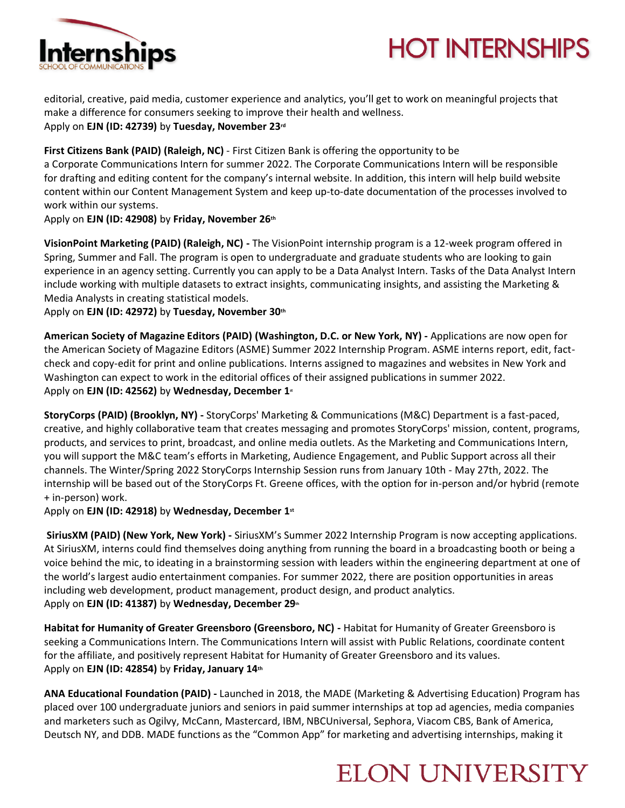



editorial, creative, paid media, customer experience and analytics, you'll get to work on meaningful projects that make a difference for consumers seeking to improve their health and wellness. Apply on **EJN (ID: 42739)** by **Tuesday, November 23rd**

#### **First Citizens Bank (PAID) (Raleigh, NC)** - First Citizen Bank is offering the opportunity to be

a Corporate Communications Intern for summer 2022. The Corporate Communications Intern will be responsible for drafting and editing content for the company's internal website. In addition, this intern will help build website content within our Content Management System and keep up-to-date documentation of the processes involved to work within our systems.

Apply on **EJN (ID: 42908)** by **Friday, November 26th**

**VisionPoint Marketing (PAID) (Raleigh, NC) -** The VisionPoint internship program is a 12-week program offered in Spring, Summer and Fall. The program is open to undergraduate and graduate students who are looking to gain experience in an agency setting. Currently you can apply to be a Data Analyst Intern. Tasks of the Data Analyst Intern include working with multiple datasets to extract insights, communicating insights, and assisting the Marketing & Media Analysts in creating statistical models.

Apply on **EJN (ID: 42972)** by **Tuesday, November 30th**

**American Society of Magazine Editors (PAID) (Washington, D.C. or New York, NY) -** Applications are now open for the American Society of Magazine Editors (ASME) Summer 2022 Internship Program. ASME interns report, edit, factcheck and copy-edit for print and online publications. Interns assigned to magazines and websites in New York and Washington can expect to work in the editorial offices of their assigned publications in summer 2022. Apply on **EJN (ID: 42562)** by **Wednesday, December 1st**

**StoryCorps (PAID) (Brooklyn, NY) -** StoryCorps' Marketing & Communications (M&C) Department is a fast-paced, creative, and highly collaborative team that creates messaging and promotes StoryCorps' mission, content, programs, products, and services to print, broadcast, and online media outlets. As the Marketing and Communications Intern, you will support the M&C team's efforts in Marketing, Audience Engagement, and Public Support across all their channels. The Winter/Spring 2022 StoryCorps Internship Session runs from January 10th - May 27th, 2022. The internship will be based out of the StoryCorps Ft. Greene offices, with the option for in-person and/or hybrid (remote + in-person) work.

Apply on **EJN (ID: 42918)** by **Wednesday, December 1st**

**SiriusXM (PAID) (New York, New York) -** SiriusXM's Summer 2022 Internship Program is now accepting applications. At SiriusXM, interns could find themselves doing anything from running the board in a broadcasting booth or being a voice behind the mic, to ideating in a brainstorming session with leaders within the engineering department at one of the world's largest audio entertainment companies. For summer 2022, there are position opportunities in areas including web development, product management, product design, and product analytics. Apply on **EJN (ID: 41387)** by **Wednesday, December 29th**

**Habitat for Humanity of Greater Greensboro (Greensboro, NC) -** Habitat for Humanity of Greater Greensboro is seeking a Communications Intern. The Communications Intern will assist with Public Relations, coordinate content for the affiliate, and positively represent Habitat for Humanity of Greater Greensboro and its values. Apply on **EJN (ID: 42854)** by **Friday, January 14th**

**ANA Educational Foundation (PAID) -** Launched in 2018, the MADE (Marketing & Advertising Education) Program has placed over 100 undergraduate juniors and seniors in paid summer internships at top ad agencies, media companies and marketers such as Ogilvy, McCann, Mastercard, IBM, NBCUniversal, Sephora, Viacom CBS, Bank of America, Deutsch NY, and DDB. MADE functions as the "Common App" for marketing and advertising internships, making it

### **ELON UNIVERSITY**